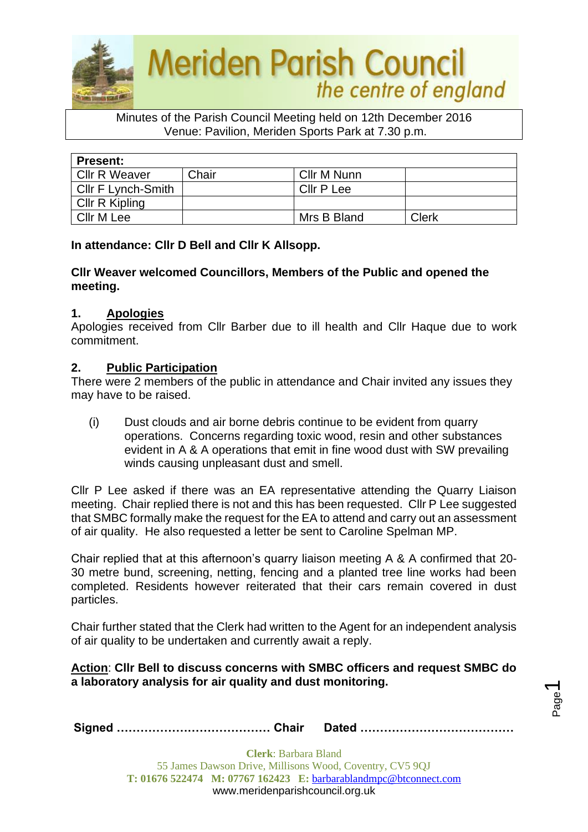

#### Minutes of the Parish Council Meeting held on 12th December 2016 Venue: Pavilion, Meriden Sports Park at 7.30 p.m.

| <b>Present:</b>    |       |             |              |
|--------------------|-------|-------------|--------------|
| Cllr R Weaver      | Chair | Cllr M Nunn |              |
| Cllr F Lynch-Smith |       | Cllr P Lee  |              |
| Cllr R Kipling     |       |             |              |
| Cllr M Lee         |       | Mrs B Bland | <b>Clerk</b> |

**In attendance: Cllr D Bell and Cllr K Allsopp.**

### **Cllr Weaver welcomed Councillors, Members of the Public and opened the meeting.**

### **1. Apologies**

Apologies received from Cllr Barber due to ill health and Cllr Haque due to work commitment.

### **2. Public Participation**

There were 2 members of the public in attendance and Chair invited any issues they may have to be raised.

(i) Dust clouds and air borne debris continue to be evident from quarry operations. Concerns regarding toxic wood, resin and other substances evident in A & A operations that emit in fine wood dust with SW prevailing winds causing unpleasant dust and smell.

Cllr P Lee asked if there was an EA representative attending the Quarry Liaison meeting. Chair replied there is not and this has been requested. Cllr P Lee suggested that SMBC formally make the request for the EA to attend and carry out an assessment of air quality. He also requested a letter be sent to Caroline Spelman MP.

Chair replied that at this afternoon's quarry liaison meeting A & A confirmed that 20- 30 metre bund, screening, netting, fencing and a planted tree line works had been completed. Residents however reiterated that their cars remain covered in dust particles.

Chair further stated that the Clerk had written to the Agent for an independent analysis of air quality to be undertaken and currently await a reply.

### **Action**: **Cllr Bell to discuss concerns with SMBC officers and request SMBC do a laboratory analysis for air quality and dust monitoring.**

Page  $\overline{\phantom{0}}$ 

|--|--|--|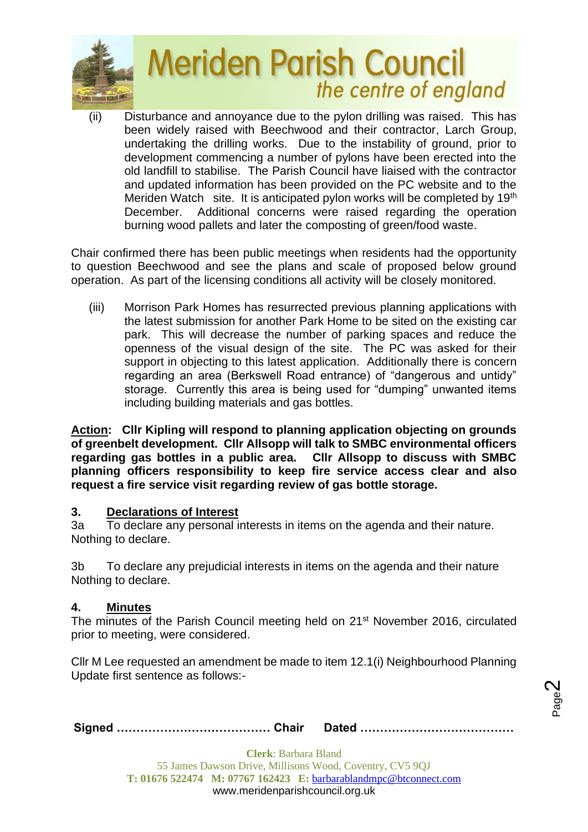

(ii) Disturbance and annoyance due to the pylon drilling was raised. This has been widely raised with Beechwood and their contractor, Larch Group, undertaking the drilling works. Due to the instability of ground, prior to development commencing a number of pylons have been erected into the old landfill to stabilise. The Parish Council have liaised with the contractor and updated information has been provided on the PC website and to the Meriden Watch site. It is anticipated pylon works will be completed by 19<sup>th</sup> December. Additional concerns were raised regarding the operation burning wood pallets and later the composting of green/food waste.

Chair confirmed there has been public meetings when residents had the opportunity to question Beechwood and see the plans and scale of proposed below ground operation. As part of the licensing conditions all activity will be closely monitored.

(iii) Morrison Park Homes has resurrected previous planning applications with the latest submission for another Park Home to be sited on the existing car park. This will decrease the number of parking spaces and reduce the openness of the visual design of the site. The PC was asked for their support in objecting to this latest application. Additionally there is concern regarding an area (Berkswell Road entrance) of "dangerous and untidy" storage. Currently this area is being used for "dumping" unwanted items including building materials and gas bottles.

**Action: Cllr Kipling will respond to planning application objecting on grounds of greenbelt development. Cllr Allsopp will talk to SMBC environmental officers regarding gas bottles in a public area. Cllr Allsopp to discuss with SMBC planning officers responsibility to keep fire service access clear and also request a fire service visit regarding review of gas bottle storage.**

### **3. Declarations of Interest**

3a To declare any personal interests in items on the agenda and their nature. Nothing to declare.

3b To declare any prejudicial interests in items on the agenda and their nature Nothing to declare.

## **4. Minutes**

The minutes of the Parish Council meeting held on 21<sup>st</sup> November 2016, circulated prior to meeting, were considered.

Cllr M Lee requested an amendment be made to item 12.1(i) Neighbourhood Planning Update first sentence as follows:-

Page  $\boldsymbol{\sim}$ 

|--|--|--|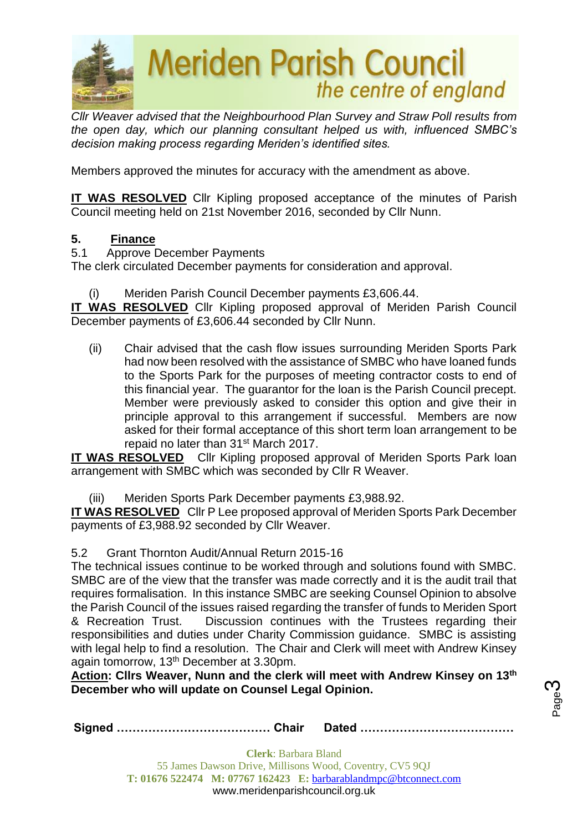

*Cllr Weaver advised that the Neighbourhood Plan Survey and Straw Poll results from the open day, which our planning consultant helped us with, influenced SMBC's decision making process regarding Meriden's identified sites.*

Members approved the minutes for accuracy with the amendment as above.

**IT WAS RESOLVED** Cllr Kipling proposed acceptance of the minutes of Parish Council meeting held on 21st November 2016, seconded by Cllr Nunn.

## **5. Finance**

5.1 Approve December Payments

The clerk circulated December payments for consideration and approval.

(i) Meriden Parish Council December payments £3,606.44.

**IT WAS RESOLVED** Cllr Kipling proposed approval of Meriden Parish Council December payments of £3,606.44 seconded by Cllr Nunn.

(ii) Chair advised that the cash flow issues surrounding Meriden Sports Park had now been resolved with the assistance of SMBC who have loaned funds to the Sports Park for the purposes of meeting contractor costs to end of this financial year. The guarantor for the loan is the Parish Council precept. Member were previously asked to consider this option and give their in principle approval to this arrangement if successful. Members are now asked for their formal acceptance of this short term loan arrangement to be repaid no later than 31<sup>st</sup> March 2017.

**IT WAS RESOLVED** Cllr Kipling proposed approval of Meriden Sports Park loan arrangement with SMBC which was seconded by Cllr R Weaver.

(iii) Meriden Sports Park December payments £3,988.92.

**IT WAS RESOLVED** Cllr P Lee proposed approval of Meriden Sports Park December payments of £3,988.92 seconded by Cllr Weaver.

5.2 Grant Thornton Audit/Annual Return 2015-16

The technical issues continue to be worked through and solutions found with SMBC. SMBC are of the view that the transfer was made correctly and it is the audit trail that requires formalisation. In this instance SMBC are seeking Counsel Opinion to absolve the Parish Council of the issues raised regarding the transfer of funds to Meriden Sport & Recreation Trust. Discussion continues with the Trustees regarding their responsibilities and duties under Charity Commission guidance. SMBC is assisting with legal help to find a resolution. The Chair and Clerk will meet with Andrew Kinsey again tomorrow, 13<sup>th</sup> December at 3.30pm.

**Action: Cllrs Weaver, Nunn and the clerk will meet with Andrew Kinsey on 13th December who will update on Counsel Legal Opinion.** 

Page ო

**Signed ………………………………… Chair Dated …………………………………**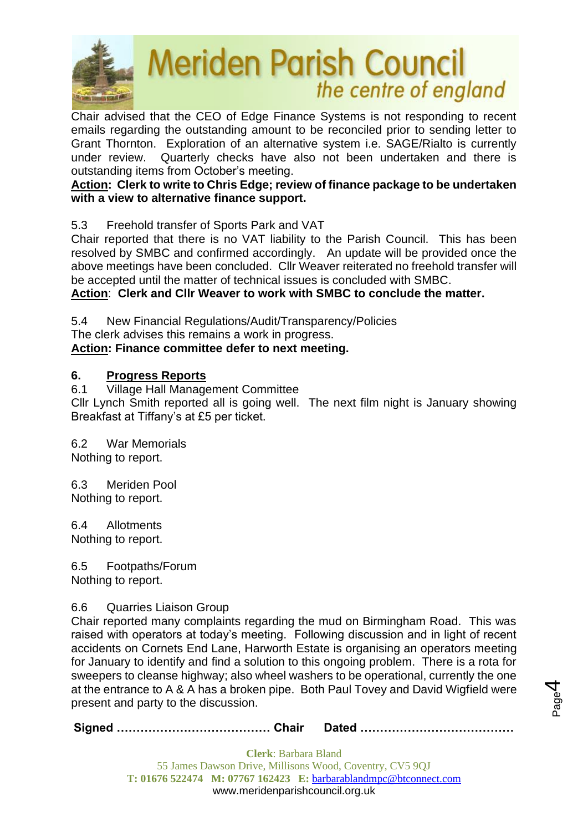

Chair advised that the CEO of Edge Finance Systems is not responding to recent emails regarding the outstanding amount to be reconciled prior to sending letter to Grant Thornton. Exploration of an alternative system i.e. SAGE/Rialto is currently under review. Quarterly checks have also not been undertaken and there is outstanding items from October's meeting.

## **Action: Clerk to write to Chris Edge; review of finance package to be undertaken with a view to alternative finance support.**

5.3 Freehold transfer of Sports Park and VAT

Chair reported that there is no VAT liability to the Parish Council. This has been resolved by SMBC and confirmed accordingly. An update will be provided once the above meetings have been concluded. Cllr Weaver reiterated no freehold transfer will be accepted until the matter of technical issues is concluded with SMBC.

**Action**: **Clerk and Cllr Weaver to work with SMBC to conclude the matter.**

5.4 New Financial Regulations/Audit/Transparency/Policies

The clerk advises this remains a work in progress.

### **Action: Finance committee defer to next meeting.**

### **6. Progress Reports**

6.1 Village Hall Management Committee Cllr Lynch Smith reported all is going well. The next film night is January showing Breakfast at Tiffany's at £5 per ticket.

6.2 War Memorials

Nothing to report.

6.3 Meriden Pool Nothing to report.

6.4 Allotments Nothing to report.

6.5 Footpaths/Forum Nothing to report.

### 6.6 Quarries Liaison Group

Chair reported many complaints regarding the mud on Birmingham Road. This was raised with operators at today's meeting. Following discussion and in light of recent accidents on Cornets End Lane, Harworth Estate is organising an operators meeting for January to identify and find a solution to this ongoing problem. There is a rota for sweepers to cleanse highway; also wheel washers to be operational, currently the one at the entrance to A & A has a broken pipe. Both Paul Tovey and David Wigfield were present and party to the discussion.

**Signed ………………………………… Chair Dated …………………………………**

Page 4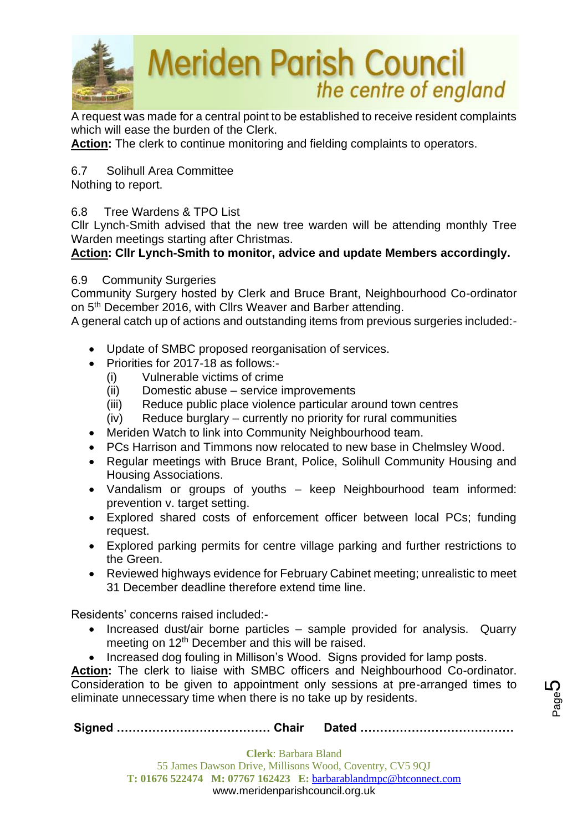

A request was made for a central point to be established to receive resident complaints which will ease the burden of the Clerk.

**Action:** The clerk to continue monitoring and fielding complaints to operators.

6.7 Solihull Area Committee

Nothing to report.

## 6.8 Tree Wardens & TPO List

Cllr Lynch-Smith advised that the new tree warden will be attending monthly Tree Warden meetings starting after Christmas.

## **Action: Cllr Lynch-Smith to monitor, advice and update Members accordingly.**

### 6.9 Community Surgeries

Community Surgery hosted by Clerk and Bruce Brant, Neighbourhood Co-ordinator on 5<sup>th</sup> December 2016, with Cllrs Weaver and Barber attending.

A general catch up of actions and outstanding items from previous surgeries included:-

- Update of SMBC proposed reorganisation of services.
- Priorities for 2017-18 as follows:-
	- (i) Vulnerable victims of crime
	- (ii) Domestic abuse service improvements
	- (iii) Reduce public place violence particular around town centres
	- (iv) Reduce burglary currently no priority for rural communities
- Meriden Watch to link into Community Neighbourhood team.
- PCs Harrison and Timmons now relocated to new base in Chelmsley Wood.
- Regular meetings with Bruce Brant, Police, Solihull Community Housing and Housing Associations.
- Vandalism or groups of youths keep Neighbourhood team informed: prevention v. target setting.
- Explored shared costs of enforcement officer between local PCs; funding request.
- Explored parking permits for centre village parking and further restrictions to the Green.
- Reviewed highways evidence for February Cabinet meeting; unrealistic to meet 31 December deadline therefore extend time line.

Residents' concerns raised included:-

- Increased dust/air borne particles sample provided for analysis. Quarry meeting on 12<sup>th</sup> December and this will be raised.
- Increased dog fouling in Millison's Wood. Signs provided for lamp posts.

Action: The clerk to liaise with SMBC officers and Neighbourhood Co-ordinator. Consideration to be given to appointment only sessions at pre-arranged times to eliminate unnecessary time when there is no take up by residents.

**Signed ………………………………… Chair Dated …………………………………**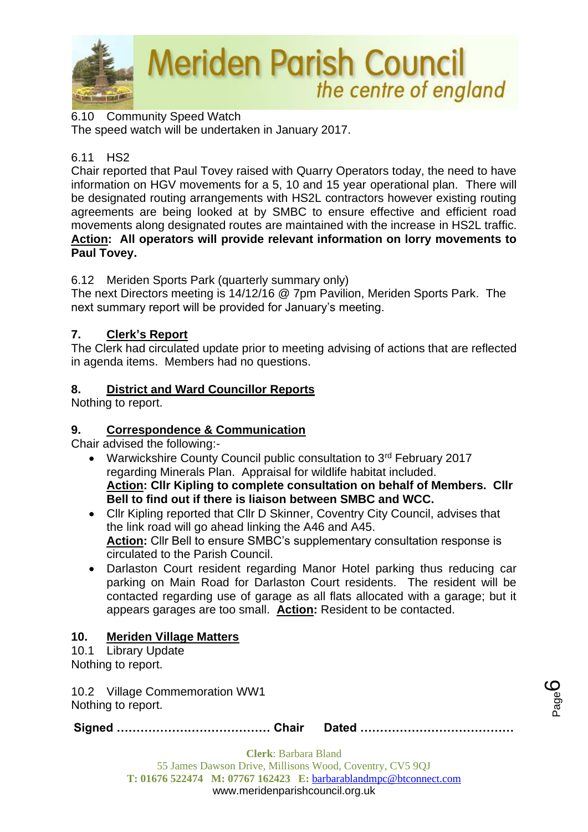

6.10 Community Speed Watch The speed watch will be undertaken in January 2017.

## 6.11 HS2

Chair reported that Paul Tovey raised with Quarry Operators today, the need to have information on HGV movements for a 5, 10 and 15 year operational plan. There will be designated routing arrangements with HS2L contractors however existing routing agreements are being looked at by SMBC to ensure effective and efficient road movements along designated routes are maintained with the increase in HS2L traffic. **Action: All operators will provide relevant information on lorry movements to Paul Tovey.**

6.12 Meriden Sports Park (quarterly summary only)

The next Directors meeting is 14/12/16 @ 7pm Pavilion, Meriden Sports Park. The next summary report will be provided for January's meeting.

## **7. Clerk's Report**

The Clerk had circulated update prior to meeting advising of actions that are reflected in agenda items. Members had no questions.

## **8. District and Ward Councillor Reports**

Nothing to report.

## **9. Correspondence & Communication**

Chair advised the following:-

- Warwickshire County Council public consultation to 3<sup>rd</sup> February 2017 regarding Minerals Plan. Appraisal for wildlife habitat included. **Action: Cllr Kipling to complete consultation on behalf of Members. Cllr Bell to find out if there is liaison between SMBC and WCC.**
- Cllr Kipling reported that Cllr D Skinner, Coventry City Council, advises that the link road will go ahead linking the A46 and A45. **Action:** Cllr Bell to ensure SMBC's supplementary consultation response is circulated to the Parish Council.
- Darlaston Court resident regarding Manor Hotel parking thus reducing car parking on Main Road for Darlaston Court residents. The resident will be contacted regarding use of garage as all flats allocated with a garage; but it appears garages are too small. **Action:** Resident to be contacted.

## **10. Meriden Village Matters**

#### 10.1 Library Update Nothing to report.

10.2 Village Commemoration WW1 Nothing to report.

**Signed ………………………………… Chair Dated …………………………………**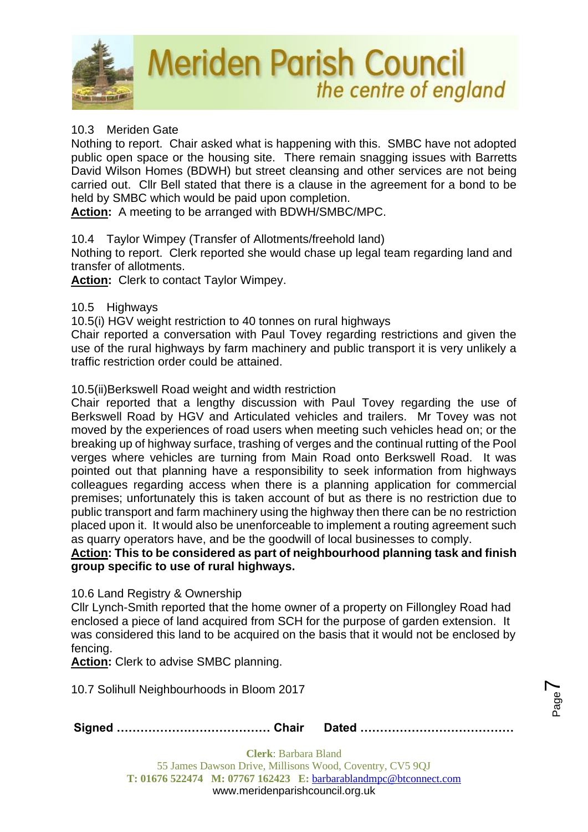

## 10.3 Meriden Gate

Nothing to report. Chair asked what is happening with this. SMBC have not adopted public open space or the housing site. There remain snagging issues with Barretts David Wilson Homes (BDWH) but street cleansing and other services are not being carried out. Cllr Bell stated that there is a clause in the agreement for a bond to be held by SMBC which would be paid upon completion.

**Action:** A meeting to be arranged with BDWH/SMBC/MPC.

### 10.4 Taylor Wimpey (Transfer of Allotments/freehold land)

Nothing to report. Clerk reported she would chase up legal team regarding land and transfer of allotments.

**Action:** Clerk to contact Taylor Wimpey.

### 10.5 Highways

10.5(i) HGV weight restriction to 40 tonnes on rural highways

Chair reported a conversation with Paul Tovey regarding restrictions and given the use of the rural highways by farm machinery and public transport it is very unlikely a traffic restriction order could be attained.

### 10.5(ii)Berkswell Road weight and width restriction

Chair reported that a lengthy discussion with Paul Tovey regarding the use of Berkswell Road by HGV and Articulated vehicles and trailers. Mr Tovey was not moved by the experiences of road users when meeting such vehicles head on; or the breaking up of highway surface, trashing of verges and the continual rutting of the Pool verges where vehicles are turning from Main Road onto Berkswell Road. It was pointed out that planning have a responsibility to seek information from highways colleagues regarding access when there is a planning application for commercial premises; unfortunately this is taken account of but as there is no restriction due to public transport and farm machinery using the highway then there can be no restriction placed upon it. It would also be unenforceable to implement a routing agreement such as quarry operators have, and be the goodwill of local businesses to comply.

**Action: This to be considered as part of neighbourhood planning task and finish group specific to use of rural highways.**

10.6 Land Registry & Ownership

Cllr Lynch-Smith reported that the home owner of a property on Fillongley Road had enclosed a piece of land acquired from SCH for the purpose of garden extension. It was considered this land to be acquired on the basis that it would not be enclosed by fencing.

Action: Clerk to advise SMBC planning.

10.7 Solihull Neighbourhoods in Bloom 2017

**Signed ………………………………… Chair Dated …………………………………**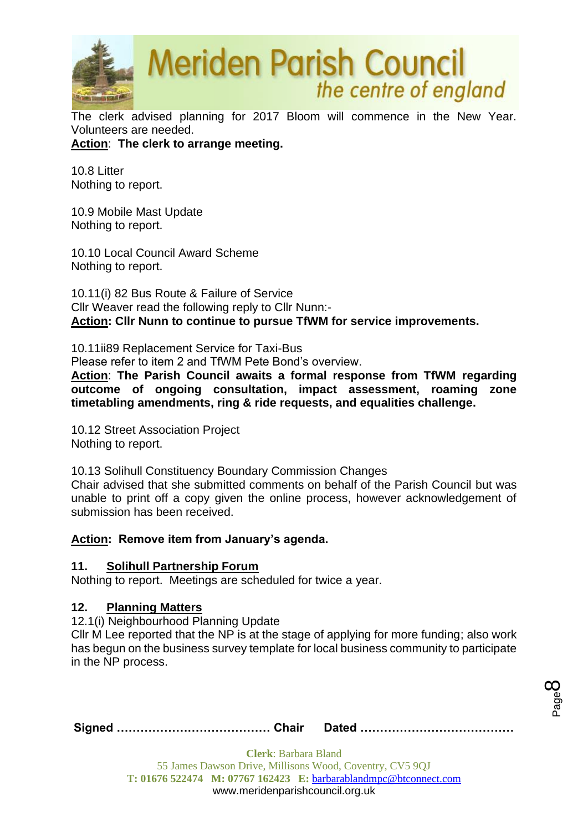

The clerk advised planning for 2017 Bloom will commence in the New Year. Volunteers are needed.

**Action**: **The clerk to arrange meeting.**

10.8 Litter Nothing to report.

10.9 Mobile Mast Update Nothing to report.

10.10 Local Council Award Scheme Nothing to report.

10.11(i) 82 Bus Route & Failure of Service Cllr Weaver read the following reply to Cllr Nunn:- **Action: Cllr Nunn to continue to pursue TfWM for service improvements.**

10.11ii89 Replacement Service for Taxi-Bus

Please refer to item 2 and TfWM Pete Bond's overview.

**Action**: **The Parish Council awaits a formal response from TfWM regarding outcome of ongoing consultation, impact assessment, roaming zone timetabling amendments, ring & ride requests, and equalities challenge.**

10.12 Street Association Project Nothing to report.

10.13 Solihull Constituency Boundary Commission Changes Chair advised that she submitted comments on behalf of the Parish Council but was unable to print off a copy given the online process, however acknowledgement of

submission has been received.

## **Action: Remove item from January's agenda.**

### **11. Solihull Partnership Forum**

Nothing to report. Meetings are scheduled for twice a year.

### **12. Planning Matters**

12.1(i) Neighbourhood Planning Update

Cllr M Lee reported that the NP is at the stage of applying for more funding; also work has begun on the business survey template for local business community to participate in the NP process.

**Signed ………………………………… Chair Dated …………………………………**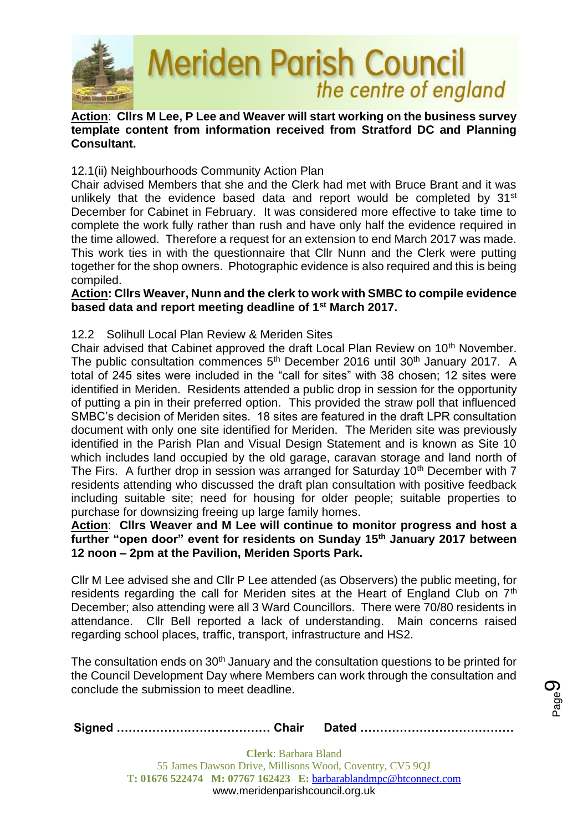

### **Action**: **Cllrs M Lee, P Lee and Weaver will start working on the business survey template content from information received from Stratford DC and Planning Consultant.**

### 12.1(ii) Neighbourhoods Community Action Plan

Chair advised Members that she and the Clerk had met with Bruce Brant and it was unlikely that the evidence based data and report would be completed by  $31^{st}$ December for Cabinet in February. It was considered more effective to take time to complete the work fully rather than rush and have only half the evidence required in the time allowed. Therefore a request for an extension to end March 2017 was made. This work ties in with the questionnaire that Cllr Nunn and the Clerk were putting together for the shop owners. Photographic evidence is also required and this is being compiled.

#### **Action: Cllrs Weaver, Nunn and the clerk to work with SMBC to compile evidence based data and report meeting deadline of 1st March 2017.**

### 12.2 Solihull Local Plan Review & Meriden Sites

Chair advised that Cabinet approved the draft Local Plan Review on 10<sup>th</sup> November. The public consultation commences  $5<sup>th</sup>$  December 2016 until 30<sup>th</sup> January 2017. A total of 245 sites were included in the "call for sites" with 38 chosen; 12 sites were identified in Meriden. Residents attended a public drop in session for the opportunity of putting a pin in their preferred option. This provided the straw poll that influenced SMBC's decision of Meriden sites. 18 sites are featured in the draft LPR consultation document with only one site identified for Meriden. The Meriden site was previously identified in the Parish Plan and Visual Design Statement and is known as Site 10 which includes land occupied by the old garage, caravan storage and land north of The Firs. A further drop in session was arranged for Saturday 10<sup>th</sup> December with 7 residents attending who discussed the draft plan consultation with positive feedback including suitable site; need for housing for older people; suitable properties to purchase for downsizing freeing up large family homes.

### **Action**: **Cllrs Weaver and M Lee will continue to monitor progress and host a further "open door" event for residents on Sunday 15th January 2017 between 12 noon – 2pm at the Pavilion, Meriden Sports Park.**

Cllr M Lee advised she and Cllr P Lee attended (as Observers) the public meeting, for residents regarding the call for Meriden sites at the Heart of England Club on 7<sup>th</sup> December; also attending were all 3 Ward Councillors. There were 70/80 residents in attendance. Cllr Bell reported a lack of understanding. Main concerns raised regarding school places, traffic, transport, infrastructure and HS2.

The consultation ends on 30<sup>th</sup> January and the consultation questions to be printed for the Council Development Day where Members can work through the consultation and conclude the submission to meet deadline.

|--|--|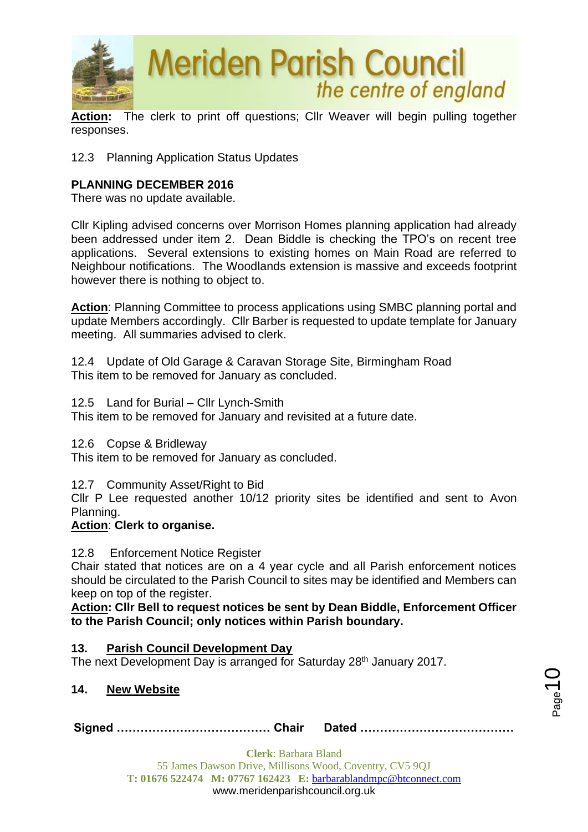

**Action:** The clerk to print off questions; Cllr Weaver will begin pulling together responses.

12.3 Planning Application Status Updates

## **PLANNING DECEMBER 2016**

There was no update available.

Cllr Kipling advised concerns over Morrison Homes planning application had already been addressed under item 2. Dean Biddle is checking the TPO's on recent tree applications. Several extensions to existing homes on Main Road are referred to Neighbour notifications. The Woodlands extension is massive and exceeds footprint however there is nothing to object to.

**Action**: Planning Committee to process applications using SMBC planning portal and update Members accordingly. Cllr Barber is requested to update template for January meeting. All summaries advised to clerk.

12.4 Update of Old Garage & Caravan Storage Site, Birmingham Road This item to be removed for January as concluded.

12.5 Land for Burial – Cllr Lynch-Smith

This item to be removed for January and revisited at a future date.

12.6 Copse & Bridleway

This item to be removed for January as concluded.

12.7 Community Asset/Right to Bid

Cllr P Lee requested another 10/12 priority sites be identified and sent to Avon Planning.

### **Action**: **Clerk to organise.**

12.8 Enforcement Notice Register

Chair stated that notices are on a 4 year cycle and all Parish enforcement notices should be circulated to the Parish Council to sites may be identified and Members can keep on top of the register.

**Action: Cllr Bell to request notices be sent by Dean Biddle, Enforcement Officer to the Parish Council; only notices within Parish boundary.**

### **13. Parish Council Development Day**

The next Development Day is arranged for Saturday 28<sup>th</sup> January 2017.

### **14. New Website**

**Signed ………………………………… Chair Dated …………………………………**